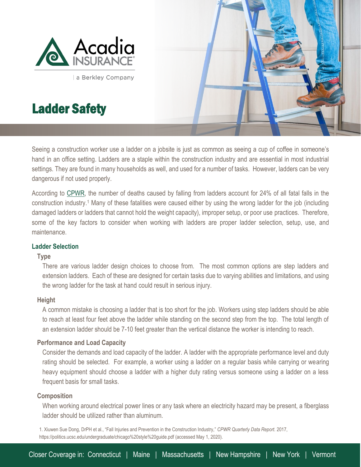

a Berkley Company

# Ladder Safety



Seeing a construction worker use a ladder on a jobsite is just as common as seeing a cup of coffee in someone's hand in an office setting. Ladders are a staple within the construction industry and are essential in most industrial settings. They are found in many households as well, and used for a number of tasks. However, ladders can be very dangerous if not used properly.

According to [CPWR,](https://www.cpwr.com/) the number of deaths caused by falling from ladders account for 24% of all fatal falls in the construction industry. <sup>1</sup> Many of these fatalities were caused either by using the wrong ladder for the job (including damaged ladders or ladders that cannot hold the weight capacity), improper setup, or poor use practices. Therefore, some of the key factors to consider when working with ladders are proper ladder selection, setup, use, and maintenance.

# **Ladder Selection**

# **Type**

l

There are various ladder design choices to choose from. The most common options are step ladders and extension ladders. Each of these are designed for certain tasks due to varying abilities and limitations, and using the wrong ladder for the task at hand could result in serious injury.

# **Height**

A common mistake is choosing a ladder that is too short for the job. Workers using step ladders should be able to reach at least four feet above the ladder while standing on the second step from the top. The total length of an extension ladder should be 7-10 feet greater than the vertical distance the worker is intending to reach.

# **Performance and Load Capacity**

Consider the demands and load capacity of the ladder. A ladder with the appropriate performance level and duty rating should be selected. For example, a worker using a ladder on a regular basis while carrying or wearing heavy equipment should choose a ladder with a higher duty rating versus someone using a ladder on a less frequent basis for small tasks.

# **Composition**

When working around electrical power lines or any task where an electricity hazard may be present, a fiberglass ladder should be utilized rather than aluminum.

1. Xiuwen Sue Dong, DrPH et al., "Fall Injuries and Prevention in the Construction Industry," *CPWR Quarterly Data Report.* 2017, https://politics.ucsc.edu/undergraduate/chicago%20style%20guide.pdf (accessed May 1, 2020).